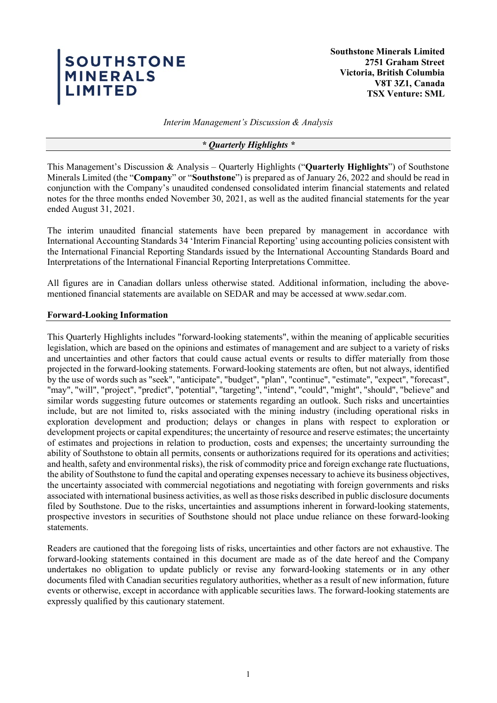# SOUTHSTONE<br>MINERALS<br>LIMITED

**Southstone Minerals Limited 2751 Graham Street Victoria, British Columbia V8T 3Z1, Canada TSX Venture: SML**

*Interim Management's Discussion & Analysis*

### *\* Quarterly Highlights \**

This Management's Discussion & Analysis – Quarterly Highlights ("**Quarterly Highlights**") of Southstone Minerals Limited (the "**Company**" or "**Southstone**") is prepared as of January 26, 2022 and should be read in conjunction with the Company's unaudited condensed consolidated interim financial statements and related notes for the three months ended November 30, 2021, as well as the audited financial statements for the year ended August 31, 2021.

The interim unaudited financial statements have been prepared by management in accordance with International Accounting Standards 34 'Interim Financial Reporting' using accounting policies consistent with the International Financial Reporting Standards issued by the International Accounting Standards Board and Interpretations of the International Financial Reporting Interpretations Committee.

All figures are in Canadian dollars unless otherwise stated. Additional information, including the abovementioned financial statements are available on SEDAR and may be accessed at www.sedar.com.

### **Forward-Looking Information**

This Quarterly Highlights includes "forward-looking statements", within the meaning of applicable securities legislation, which are based on the opinions and estimates of management and are subject to a variety of risks and uncertainties and other factors that could cause actual events or results to differ materially from those projected in the forward-looking statements. Forward-looking statements are often, but not always, identified by the use of words such as "seek", "anticipate", "budget", "plan", "continue", "estimate", "expect", "forecast", "may", "will", "project", "predict", "potential", "targeting", "intend", "could", "might", "should", "believe" and similar words suggesting future outcomes or statements regarding an outlook. Such risks and uncertainties include, but are not limited to, risks associated with the mining industry (including operational risks in exploration development and production; delays or changes in plans with respect to exploration or development projects or capital expenditures; the uncertainty of resource and reserve estimates; the uncertainty of estimates and projections in relation to production, costs and expenses; the uncertainty surrounding the ability of Southstone to obtain all permits, consents or authorizations required for its operations and activities; and health, safety and environmental risks), the risk of commodity price and foreign exchange rate fluctuations, the ability of Southstone to fund the capital and operating expenses necessary to achieve its business objectives, the uncertainty associated with commercial negotiations and negotiating with foreign governments and risks associated with international business activities, as well as those risks described in public disclosure documents filed by Southstone. Due to the risks, uncertainties and assumptions inherent in forward-looking statements, prospective investors in securities of Southstone should not place undue reliance on these forward-looking statements.

Readers are cautioned that the foregoing lists of risks, uncertainties and other factors are not exhaustive. The forward-looking statements contained in this document are made as of the date hereof and the Company undertakes no obligation to update publicly or revise any forward-looking statements or in any other documents filed with Canadian securities regulatory authorities, whether as a result of new information, future events or otherwise, except in accordance with applicable securities laws. The forward-looking statements are expressly qualified by this cautionary statement.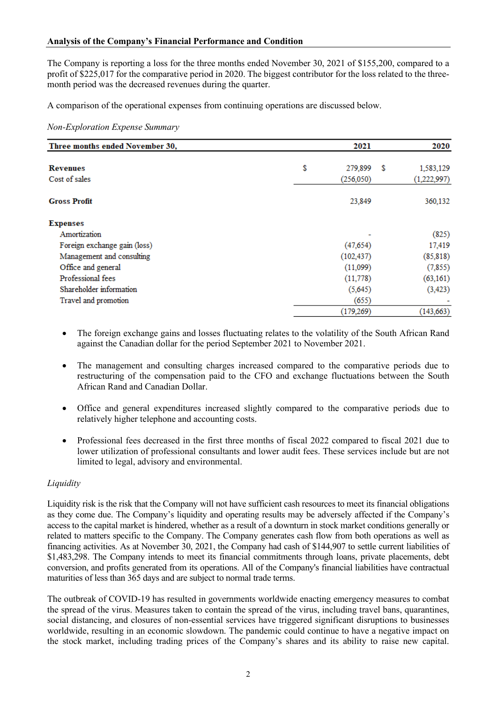The Company is reporting a loss for the three months ended November 30, 2021 of \$155,200, compared to a profit of \$225,017 for the comparative period in 2020. The biggest contributor for the loss related to the threemonth period was the decreased revenues during the quarter.

A comparison of the operational expenses from continuing operations are discussed below.

### *Non-Exploration Expense Summary*

| Three months ended November 30, | 2021          |   | 2020        |
|---------------------------------|---------------|---|-------------|
| <b>Revenues</b>                 | \$<br>279,899 | S | 1,583,129   |
| Cost of sales                   | (256, 050)    |   | (1,222,997) |
| <b>Gross Profit</b>             | 23,849        |   | 360,132     |
| <b>Expenses</b>                 |               |   |             |
| Amortization                    |               |   | (825)       |
| Foreign exchange gain (loss)    | (47, 654)     |   | 17,419      |
| Management and consulting       | (102, 437)    |   | (85, 818)   |
| Office and general              | (11,099)      |   | (7, 855)    |
| Professional fees               | (11, 778)     |   | (63, 161)   |
| Shareholder information         | (5,645)       |   | (3, 423)    |
| Travel and promotion            | (655)         |   |             |
|                                 | (179, 269)    |   | (143, 663)  |

- The foreign exchange gains and losses fluctuating relates to the volatility of the South African Rand against the Canadian dollar for the period September 2021 to November 2021.
- The management and consulting charges increased compared to the comparative periods due to restructuring of the compensation paid to the CFO and exchange fluctuations between the South African Rand and Canadian Dollar.
- Office and general expenditures increased slightly compared to the comparative periods due to relatively higher telephone and accounting costs.
- Professional fees decreased in the first three months of fiscal 2022 compared to fiscal 2021 due to lower utilization of professional consultants and lower audit fees. These services include but are not limited to legal, advisory and environmental.

# *Liquidity*

Liquidity risk is the risk that the Company will not have sufficient cash resources to meet its financial obligations as they come due. The Company's liquidity and operating results may be adversely affected if the Company's access to the capital market is hindered, whether as a result of a downturn in stock market conditions generally or related to matters specific to the Company. The Company generates cash flow from both operations as well as financing activities. As at November 30, 2021, the Company had cash of \$144,907 to settle current liabilities of \$1,483,298. The Company intends to meet its financial commitments through loans, private placements, debt conversion, and profits generated from its operations. All of the Company's financial liabilities have contractual maturities of less than 365 days and are subject to normal trade terms.

The outbreak of COVID-19 has resulted in governments worldwide enacting emergency measures to combat the spread of the virus. Measures taken to contain the spread of the virus, including travel bans, quarantines, social distancing, and closures of non-essential services have triggered significant disruptions to businesses worldwide, resulting in an economic slowdown. The pandemic could continue to have a negative impact on the stock market, including trading prices of the Company's shares and its ability to raise new capital.